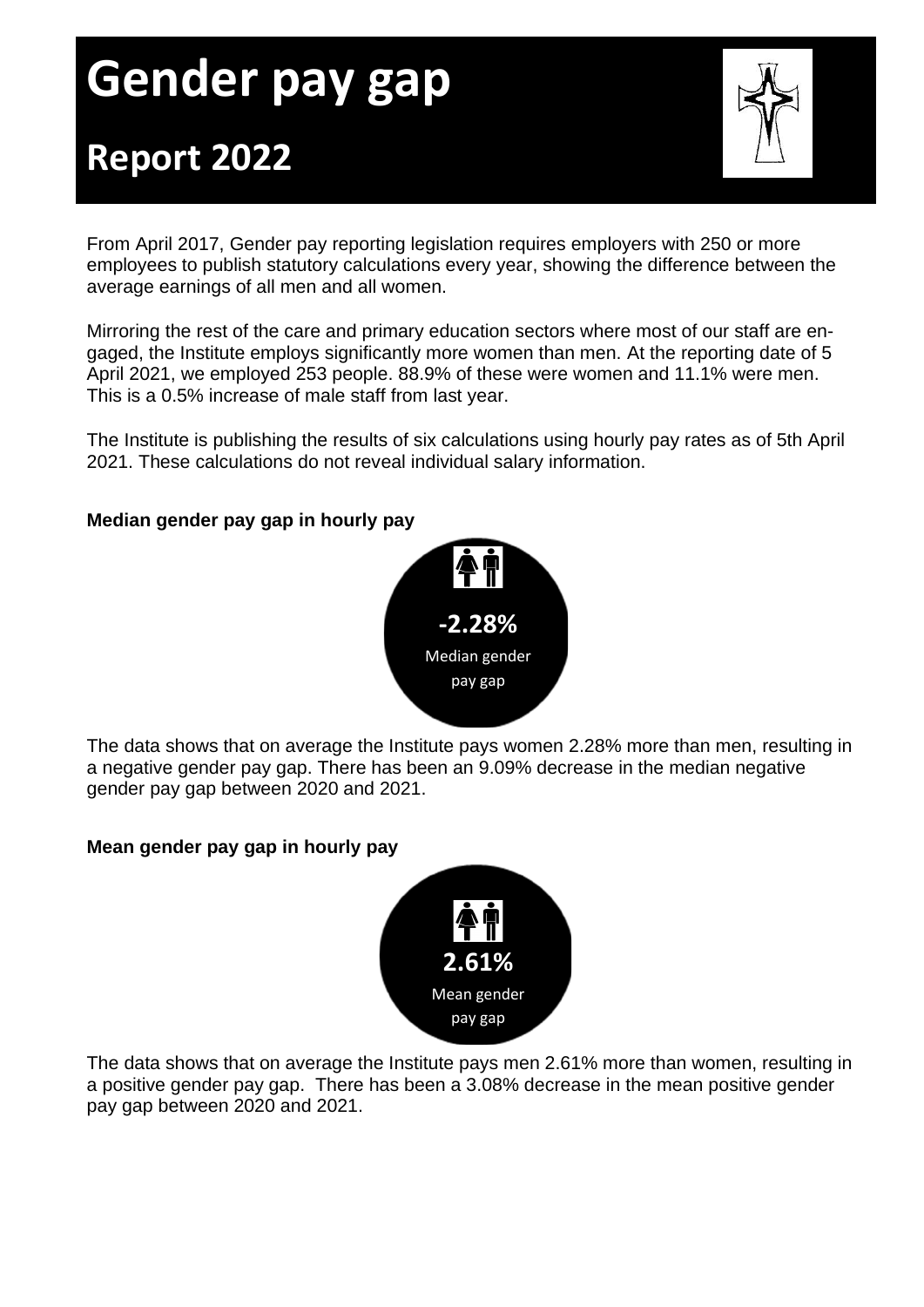# **Gender pay gap Report 2022**



From April 2017, Gender pay reporting legislation requires employers with 250 or more employees to publish statutory calculations every year, showing the difference between the average earnings of all men and all women.

Mirroring the rest of the care and primary education sectors where most of our staff are engaged, the Institute employs significantly more women than men. At the reporting date of 5 April 2021, we employed 253 people. 88.9% of these were women and 11.1% were men. This is a 0.5% increase of male staff from last year.

The Institute is publishing the results of six calculations using hourly pay rates as of 5th April 2021. These calculations do not reveal individual salary information.

## **Median gender pay gap in hourly pay**



The data shows that on average the Institute pays women 2.28% more than men, resulting in a negative gender pay gap. There has been an 9.09% decrease in the median negative gender pay gap between 2020 and 2021.

#### **7.9% less Mean gender pay gap in hourly pay**



The data shows that on average the Institute pays men 2.61% more than women, resulting in a positive gender pay gap. There has been a 3.08% decrease in the mean positive gender pay gap between 2020 and 2021.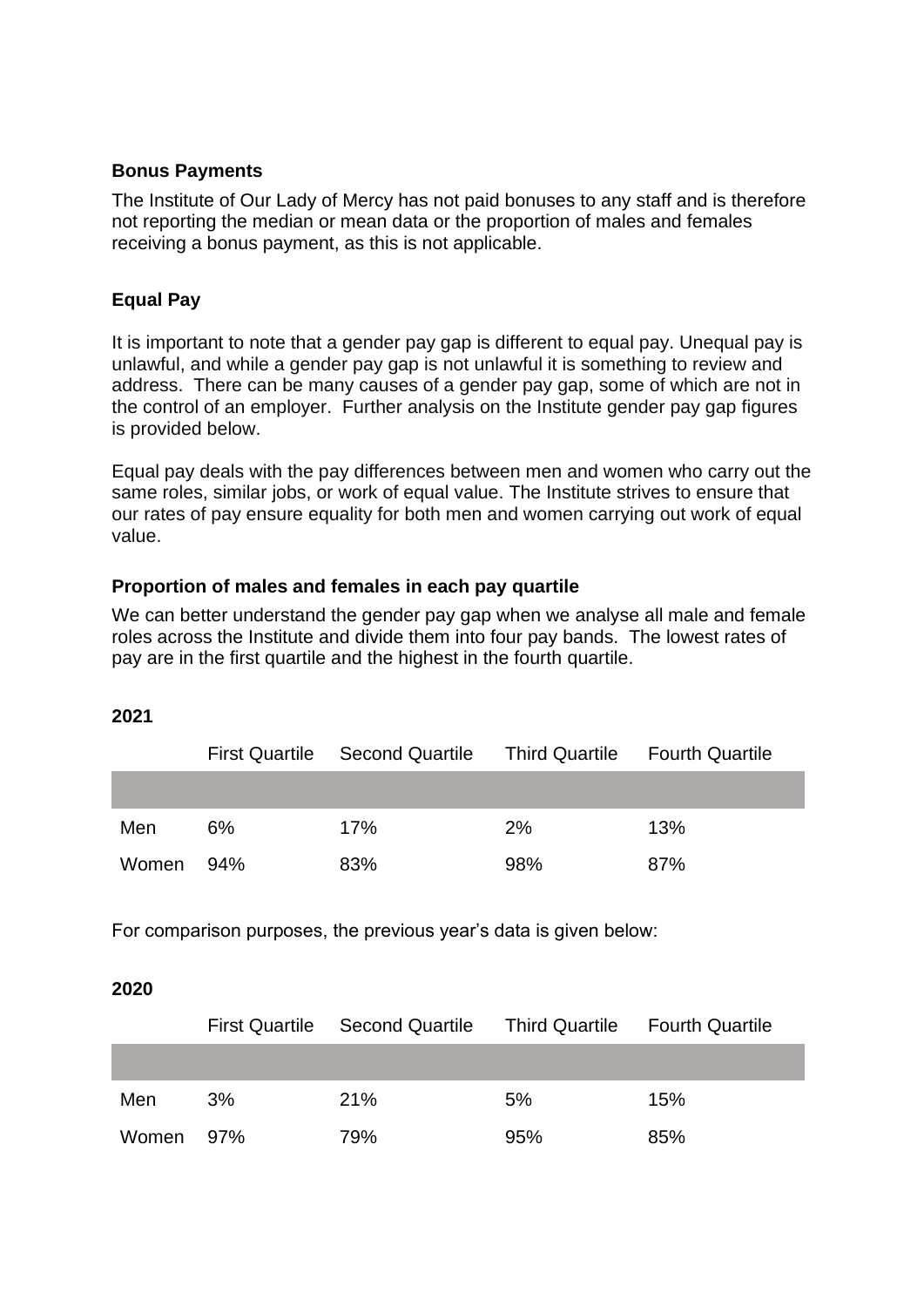#### **Bonus Payments**

The Institute of Our Lady of Mercy has not paid bonuses to any staff and is therefore not reporting the median or mean data or the proportion of males and females receiving a bonus payment, as this is not applicable.

#### **Equal Pay**

It is important to note that a gender pay gap is different to equal pay. Unequal pay is unlawful, and while a gender pay gap is not unlawful it is something to review and address. There can be many causes of a gender pay gap, some of which are not in the control of an employer. Further analysis on the Institute gender pay gap figures is provided below.

Equal pay deals with the pay differences between men and women who carry out the same roles, similar jobs, or work of equal value. The Institute strives to ensure that our rates of pay ensure equality for both men and women carrying out work of equal value.

### **Proportion of males and females in each pay quartile**

We can better understand the gender pay gap when we analyse all male and female roles across the Institute and divide them into four pay bands. The lowest rates of pay are in the first quartile and the highest in the fourth quartile.

#### **2021**

|       | <b>First Quartile</b> | <b>Second Quartile</b> | Third Quartile Fourth Quartile |     |
|-------|-----------------------|------------------------|--------------------------------|-----|
|       |                       |                        |                                |     |
| Men   | $6\%$                 | 17%                    | 2%                             | 13% |
| Women | 94%                   | 83%                    | 98%                            | 87% |

For comparison purposes, the previous year's data is given below:

#### **2020**

|           |    | First Quartile Second Quartile | Third Quartile Fourth Quartile |     |
|-----------|----|--------------------------------|--------------------------------|-----|
|           |    |                                |                                |     |
| Men       | 3% | 21%                            | 5%                             | 15% |
| Women 97% |    | 79%                            | 95%                            | 85% |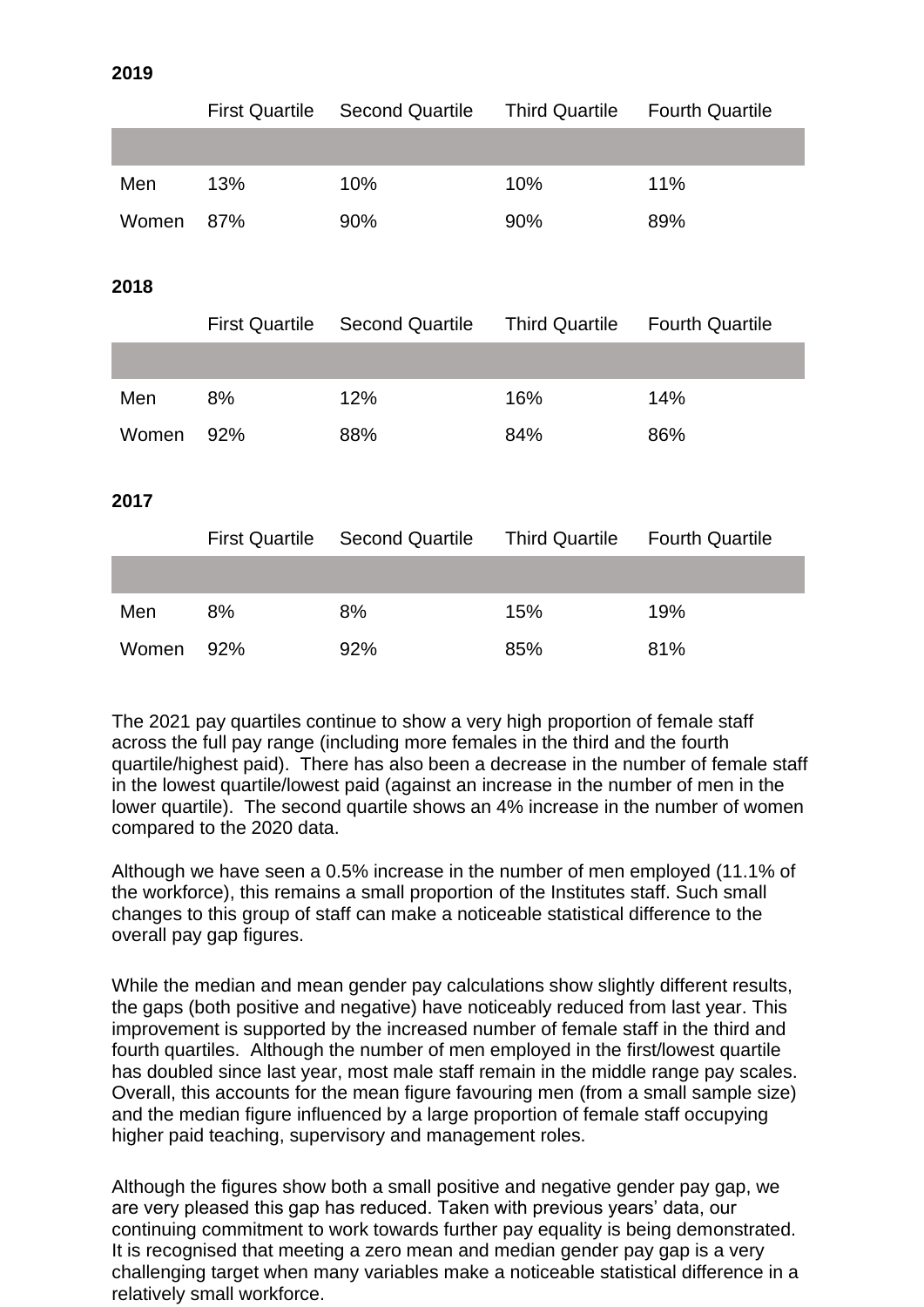| v.<br>×<br>۰. | ۰, |
|---------------|----|
|---------------|----|

|       | <b>First Quartile</b> | <b>Second Quartile</b> | <b>Third Quartile</b> | <b>Fourth Quartile</b> |
|-------|-----------------------|------------------------|-----------------------|------------------------|
|       |                       |                        |                       |                        |
| Men   | 13%                   | 10%                    | 10%                   | 11%                    |
| Women | 87%                   | 90%                    | 90%                   | 89%                    |
|       |                       |                        |                       |                        |
| 2018  |                       |                        |                       |                        |
|       | <b>First Quartile</b> | <b>Second Quartile</b> | <b>Third Quartile</b> | <b>Fourth Quartile</b> |
|       |                       |                        |                       |                        |
| Men   | 8%                    | 12%                    | 16%                   | 14%                    |
| Women | 92%                   | 88%                    | 84%                   | 86%                    |
|       |                       |                        |                       |                        |
| 2017  |                       |                        |                       |                        |
|       | <b>First Quartile</b> | <b>Second Quartile</b> | <b>Third Quartile</b> | <b>Fourth Quartile</b> |
|       |                       |                        |                       |                        |

The 2021 pay quartiles continue to show a very high proportion of female staff across the full pay range (including more females in the third and the fourth quartile/highest paid). There has also been a decrease in the number of female staff in the lowest quartile/lowest paid (against an increase in the number of men in the lower quartile). The second quartile shows an 4% increase in the number of women compared to the 2020 data.

Men 8% 8% 15% 19%

Women 92% 92% 85% 81%

Although we have seen a 0.5% increase in the number of men employed (11.1% of the workforce), this remains a small proportion of the Institutes staff. Such small changes to this group of staff can make a noticeable statistical difference to the overall pay gap figures.

While the median and mean gender pay calculations show slightly different results, the gaps (both positive and negative) have noticeably reduced from last year. This improvement is supported by the increased number of female staff in the third and fourth quartiles. Although the number of men employed in the first/lowest quartile has doubled since last year, most male staff remain in the middle range pay scales. Overall, this accounts for the mean figure favouring men (from a small sample size) and the median figure influenced by a large proportion of female staff occupying higher paid teaching, supervisory and management roles.

Although the figures show both a small positive and negative gender pay gap, we are very pleased this gap has reduced. Taken with previous years' data, our continuing commitment to work towards further pay equality is being demonstrated. It is recognised that meeting a zero mean and median gender pay gap is a very challenging target when many variables make a noticeable statistical difference in a relatively small workforce.